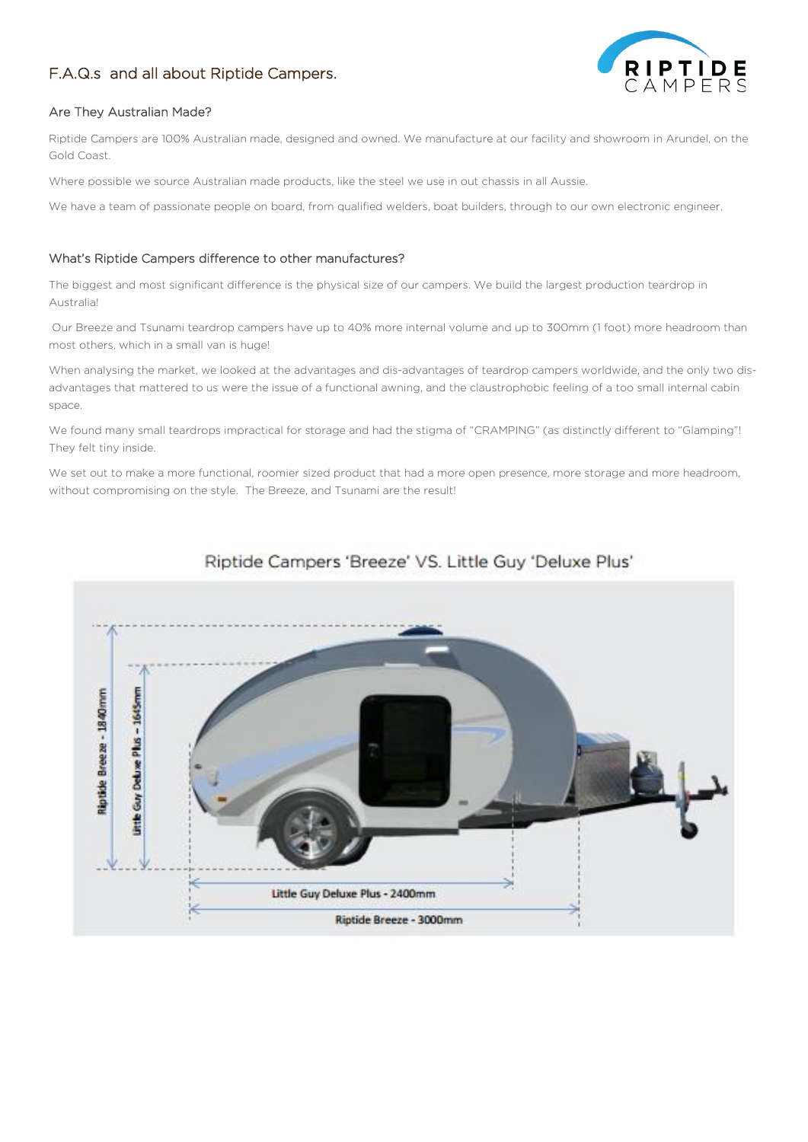# F.A.Q.s and all about Riptide Campers.



# Are They Australian Made?

Riptide Campers are 100% Australian made, designed and owned. We manufacture at our facility and showroom in Arundel, on the Gold Coast.

Where possible we source Australian made products, like the steel we use in out chassis in all Aussie.

We have a team of passionate people on board, from qualified welders, boat builders, through to our own electronic engineer.

# What's Riptide Campers difference to other manufactures?

The biggest and most significant difference is the physical size of our campers. We build the largest production teardrop in Australia!

Our Breeze and Tsunami teardrop campers have up to 40% more internal volume and up to 300mm (1 foot) more headroom than most others, which in a small van is huge!

When analysing the market, we looked at the advantages and dis-advantages of teardrop campers worldwide, and the only two disadvantages that mattered to us were the issue of a functional awning, and the claustrophobic feeling of a too small internal cabin space.

We found many small teardrops impractical for storage and had the stigma of "CRAMPING" (as distinctly different to "Glamping"! They felt tiny inside.

We set out to make a more functional, roomier sized product that had a more open presence, more storage and more headroom, without compromising on the style. The Breeze, and Tsunami are the result!



# Riptide Campers 'Breeze' VS. Little Guy 'Deluxe Plus'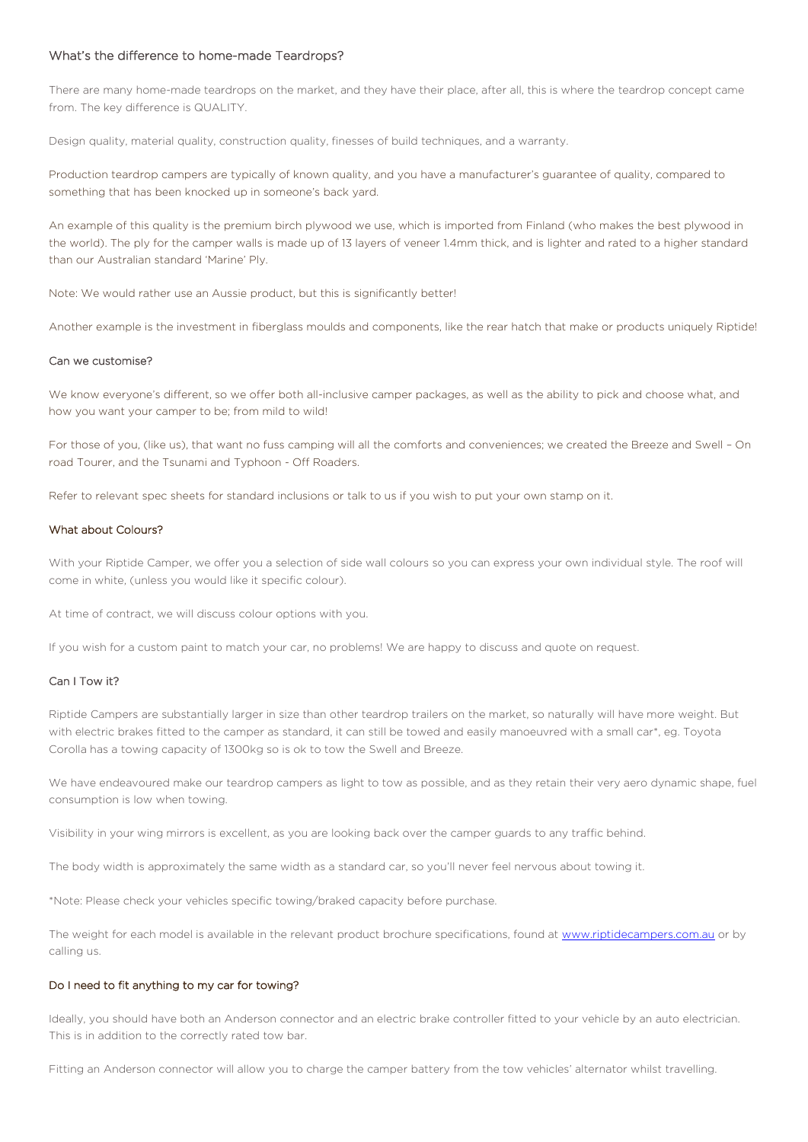# What's the difference to home-made Teardrops?

There are many home-made teardrops on the market, and they have their place, after all, this is where the teardrop concept came from. The key difference is QUALITY.

Design quality, material quality, construction quality, finesses of build techniques, and a warranty.

Production teardrop campers are typically of known quality, and you have a manufacturer's guarantee of quality, compared to something that has been knocked up in someone's back yard.

An example of this quality is the premium birch plywood we use, which is imported from Finland (who makes the best plywood in the world). The ply for the camper walls is made up of 13 layers of veneer 1.4mm thick, and is lighter and rated to a higher standard than our Australian standard 'Marine' Ply.

Note: We would rather use an Aussie product, but this is significantly better!

Another example is the investment in fiberglass moulds and components, like the rear hatch that make or products uniquely Riptide!

#### Can we customise?

We know everyone's different, so we offer both all-inclusive camper packages, as well as the ability to pick and choose what, and how you want your camper to be; from mild to wild!

For those of you, (like us), that want no fuss camping will all the comforts and conveniences; we created the Breeze and Swell – On road Tourer, and the Tsunami and Typhoon - Off Roaders.

Refer to relevant spec sheets for standard inclusions or talk to us if you wish to put your own stamp on it.

# What about Colours?

With your Riptide Camper, we offer you a selection of side wall colours so you can express your own individual style. The roof will come in white, (unless you would like it specific colour).

At time of contract, we will discuss colour options with you.

If you wish for a custom paint to match your car, no problems! We are happy to discuss and quote on request.

# Can I Tow it?

Riptide Campers are substantially larger in size than other teardrop trailers on the market, so naturally will have more weight. But with electric brakes fitted to the camper as standard, it can still be towed and easily manoeuvred with a small car\*, eg. Toyota Corolla has a towing capacity of 1300kg so is ok to tow the Swell and Breeze.

We have endeavoured make our teardrop campers as light to tow as possible, and as they retain their very aero dynamic shape, fuel consumption is low when towing.

Visibility in your wing mirrors is excellent, as you are looking back over the camper guards to any traffic behind.

The body width is approximately the same width as a standard car, so you'll never feel nervous about towing it.

\*Note: Please check your vehicles specific towing/braked capacity before purchase.

The weight for each model is available in the relevant product brochure specifications, found at [www.riptidecampers.com.au](http://www.riptidecampers.com.au/) or by calling us.

# Do I need to fit anything to my car for towing?

Ideally, you should have both an Anderson connector and an electric brake controller fitted to your vehicle by an auto electrician. This is in addition to the correctly rated tow bar.

Fitting an Anderson connector will allow you to charge the camper battery from the tow vehicles' alternator whilst travelling.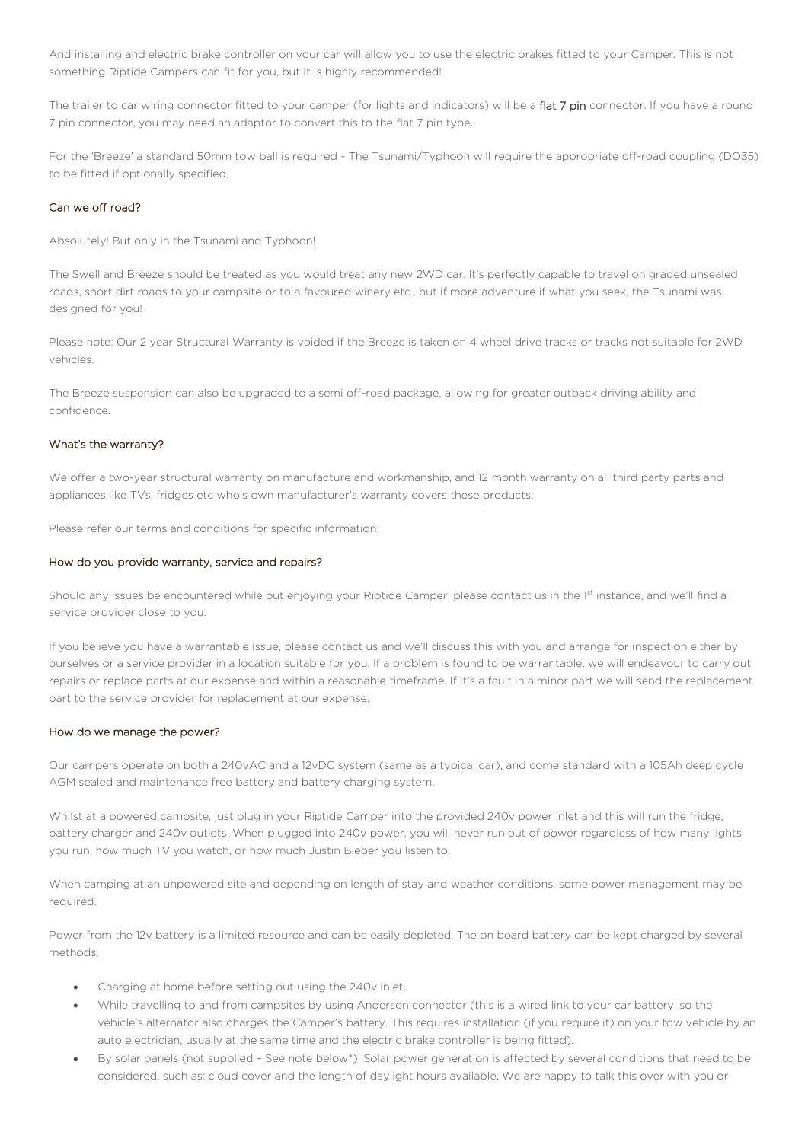And installing and electric brake controller on your car will allow you to use the electric brakes fitted to your Camper. This is not something Riptide Campers can fit for you, but it is highly recommended!

The trailer to car wiring connector fitted to your camper (for lights and indicators) will be a flat 7 pin connector. If you have a round 7 pin connector, you may need an adaptor to convert this to the flat 7 pin type.

For the 'Breeze' a standard 50mm tow ball is required - The Tsunami/Typhoon will require the appropriate off-road coupling (DO35) to be fitted if optionally specified.

# Can we off road?

Absolutely! But only in the Tsunami and Typhoon!

The Swell and Breeze should be treated as you would treat any new 2WD car. It's perfectly capable to travel on graded unsealed roads, short dirt roads to your campsite or to a favoured winery etc., but if more adventure if what you seek, the Tsunami was designed for you!

Please note: Our 2 year Structural Warranty is voided if the Breeze is taken on 4 wheel drive tracks or tracks not suitable for 2WD vehicles.

The Breeze suspension can also be upgraded to a semi off-road package, allowing for greater outback driving ability and confidence.

# What's the warranty?

We offer a two-year structural warranty on manufacture and workmanship, and 12 month warranty on all third party parts and appliances like TVs, fridges etc who's own manufacturer's warranty covers these products.

Please refer our terms and conditions for specific information.

# How do you provide warranty, service and repairs?

Should any issues be encountered while out enjoying your Riptide Camper, please contact us in the 1st instance, and we'll find a service provider close to you.

If you believe you have a warrantable issue, please contact us and we'll discuss this with you and arrange for inspection either by ourselves or a service provider in a location suitable for you. If a problem is found to be warrantable, we will endeavour to carry out repairs or replace parts at our expense and within a reasonable timeframe. If it's a fault in a minor part we will send the replacement part to the service provider for replacement at our expense.

# How do we manage the power?

Our campers operate on both a 240vAC and a 12vDC system (same as a typical car), and come standard with a 105Ah deep cycle AGM sealed and maintenance free battery and battery charging system.

Whilst at a powered campsite, just plug in your Riptide Camper into the provided 240v power inlet and this will run the fridge, battery charger and 240v outlets. When plugged into 240v power, you will never run out of power regardless of how many lights you run, how much TV you watch, or how much Justin Bieber you listen to.

When camping at an unpowered site and depending on length of stay and weather conditions, some power management may be required.

Power from the 12v battery is a limited resource and can be easily depleted. The on board battery can be kept charged by several methods,

- Charging at home before setting out using the 240v inlet,
- While travelling to and from campsites by using Anderson connector (this is a wired link to your car battery, so the vehicle's alternator also charges the Camper's battery. This requires installation (if you require it) on your tow vehicle by an auto electrician, usually at the same time and the electric brake controller is being fitted).
- By solar panels (not supplied See note below\*). Solar power generation is affected by several conditions that need to be considered, such as: cloud cover and the length of daylight hours available. We are happy to talk this over with you or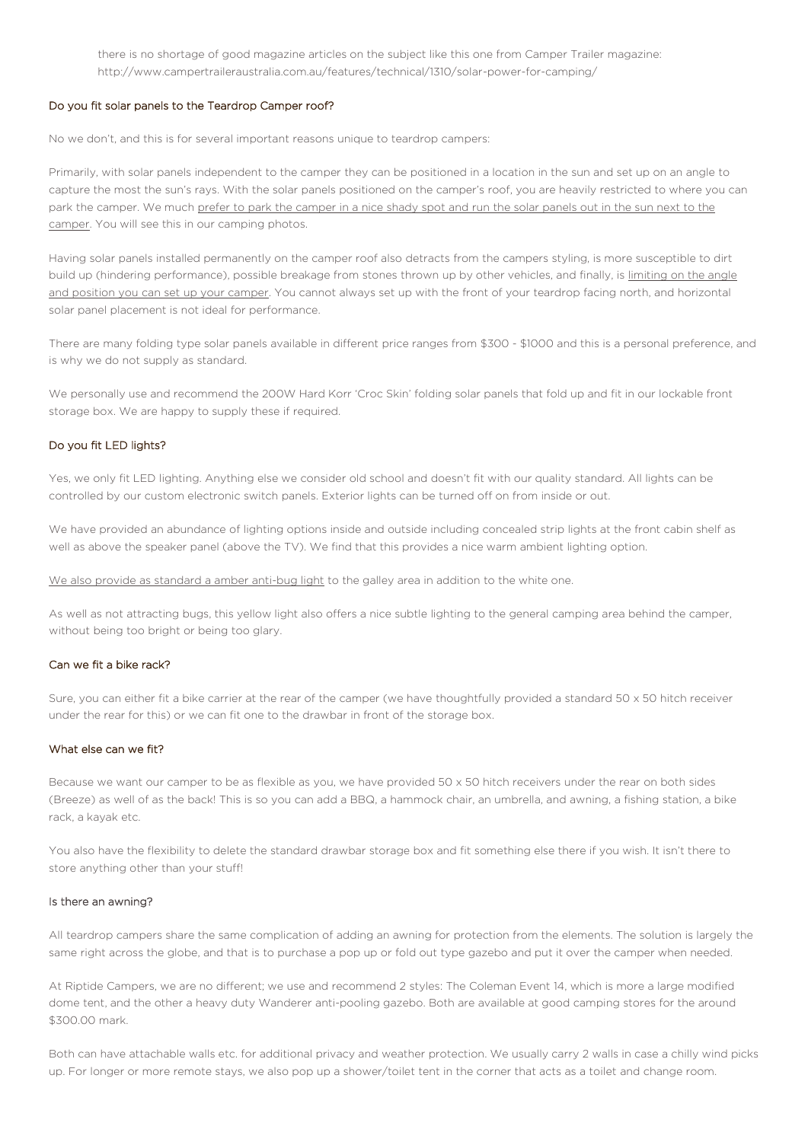there is no shortage of good magazine articles on the subject like this one from Camper Trailer magazine: http://www.campertraileraustralia.com.au/features/technical/1310/solar-power-for-camping/

#### Do you fit solar panels to the Teardrop Camper roof?

No we don't, and this is for several important reasons unique to teardrop campers:

Primarily, with solar panels independent to the camper they can be positioned in a location in the sun and set up on an angle to capture the most the sun's rays. With the solar panels positioned on the camper's roof, you are heavily restricted to where you can park the camper. We much prefer to park the camper in a nice shady spot and run the solar panels out in the sun next to the camper. You will see this in our camping photos.

Having solar panels installed permanently on the camper roof also detracts from the campers styling, is more susceptible to dirt build up (hindering performance), possible breakage from stones thrown up by other vehicles, and finally, is limiting on the angle and position you can set up your camper. You cannot always set up with the front of your teardrop facing north, and horizontal solar panel placement is not ideal for performance.

There are many folding type solar panels available in different price ranges from \$300 - \$1000 and this is a personal preference, and is why we do not supply as standard.

We personally use and recommend the 200W Hard Korr 'Croc Skin' folding solar panels that fold up and fit in our lockable front storage box. We are happy to supply these if required.

#### Do you fit LED lights?

Yes, we only fit LED lighting. Anything else we consider old school and doesn't fit with our quality standard. All lights can be controlled by our custom electronic switch panels. Exterior lights can be turned off on from inside or out.

We have provided an abundance of lighting options inside and outside including concealed strip lights at the front cabin shelf as well as above the speaker panel (above the TV). We find that this provides a nice warm ambient lighting option.

We also provide as standard a amber anti-bug light to the galley area in addition to the white one.

As well as not attracting bugs, this yellow light also offers a nice subtle lighting to the general camping area behind the camper, without being too bright or being too glary.

#### Can we fit a bike rack?

Sure, you can either fit a bike carrier at the rear of the camper (we have thoughtfully provided a standard 50 x 50 hitch receiver under the rear for this) or we can fit one to the drawbar in front of the storage box.

#### What else can we fit?

Because we want our camper to be as flexible as you, we have provided 50 x 50 hitch receivers under the rear on both sides (Breeze) as well of as the back! This is so you can add a BBQ, a hammock chair, an umbrella, and awning, a fishing station, a bike rack, a kayak etc.

You also have the flexibility to delete the standard drawbar storage box and fit something else there if you wish. It isn't there to store anything other than your stuff!

#### Is there an awning?

All teardrop campers share the same complication of adding an awning for protection from the elements. The solution is largely the same right across the globe, and that is to purchase a pop up or fold out type gazebo and put it over the camper when needed.

At Riptide Campers, we are no different; we use and recommend 2 styles: The Coleman Event 14, which is more a large modified dome tent, and the other a heavy duty Wanderer anti-pooling gazebo. Both are available at good camping stores for the around \$300.00 mark.

Both can have attachable walls etc. for additional privacy and weather protection. We usually carry 2 walls in case a chilly wind picks up. For longer or more remote stays, we also pop up a shower/toilet tent in the corner that acts as a toilet and change room.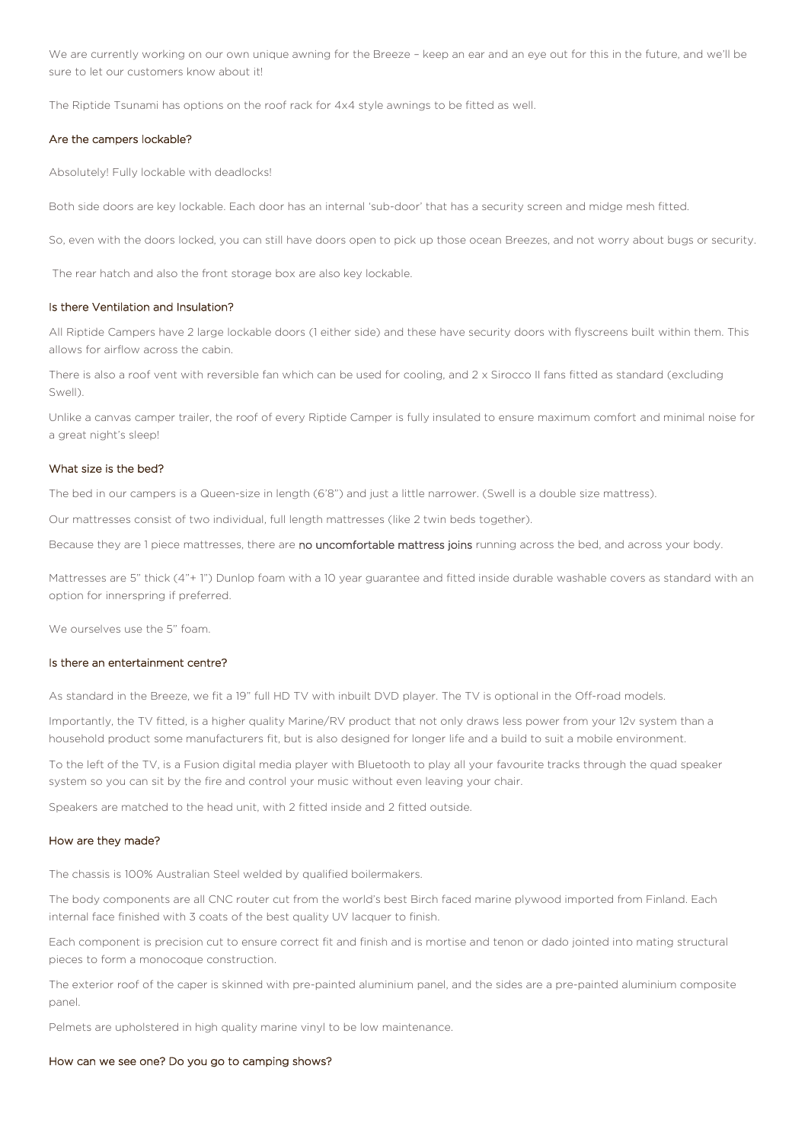We are currently working on our own unique awning for the Breeze – keep an ear and an eye out for this in the future, and we'll be sure to let our customers know about it!

The Riptide Tsunami has options on the roof rack for 4x4 style awnings to be fitted as well.

#### Are the campers lockable?

Absolutely! Fully lockable with deadlocks!

Both side doors are key lockable. Each door has an internal 'sub-door' that has a security screen and midge mesh fitted.

So, even with the doors locked, you can still have doors open to pick up those ocean Breezes, and not worry about bugs or security.

The rear hatch and also the front storage box are also key lockable.

# Is there Ventilation and Insulation?

All Riptide Campers have 2 large lockable doors (1 either side) and these have security doors with flyscreens built within them. This allows for airflow across the cabin.

There is also a roof vent with reversible fan which can be used for cooling, and 2 x Sirocco II fans fitted as standard (excluding Swell).

Unlike a canvas camper trailer, the roof of every Riptide Camper is fully insulated to ensure maximum comfort and minimal noise for a great night's sleep!

# What size is the bed?

The bed in our campers is a Queen-size in length (6'8") and just a little narrower. (Swell is a double size mattress).

Our mattresses consist of two individual, full length mattresses (like 2 twin beds together).

Because they are 1 piece mattresses, there are no uncomfortable mattress joins running across the bed, and across your body.

Mattresses are 5" thick (4"+ 1") Dunlop foam with a 10 year guarantee and fitted inside durable washable covers as standard with an option for innerspring if preferred.

We ourselves use the 5" foam.

### Is there an entertainment centre?

As standard in the Breeze, we fit a 19" full HD TV with inbuilt DVD player. The TV is optional in the Off-road models.

Importantly, the TV fitted, is a higher quality Marine/RV product that not only draws less power from your 12v system than a household product some manufacturers fit, but is also designed for longer life and a build to suit a mobile environment.

To the left of the TV, is a Fusion digital media player with Bluetooth to play all your favourite tracks through the quad speaker system so you can sit by the fire and control your music without even leaving your chair.

Speakers are matched to the head unit, with 2 fitted inside and 2 fitted outside.

#### How are they made?

The chassis is 100% Australian Steel welded by qualified boilermakers.

The body components are all CNC router cut from the world's best Birch faced marine plywood imported from Finland. Each internal face finished with 3 coats of the best quality UV lacquer to finish.

Each component is precision cut to ensure correct fit and finish and is mortise and tenon or dado jointed into mating structural pieces to form a monocoque construction.

The exterior roof of the caper is skinned with pre-painted aluminium panel, and the sides are a pre-painted aluminium composite panel.

Pelmets are upholstered in high quality marine vinyl to be low maintenance.

#### How can we see one? Do you go to camping shows?